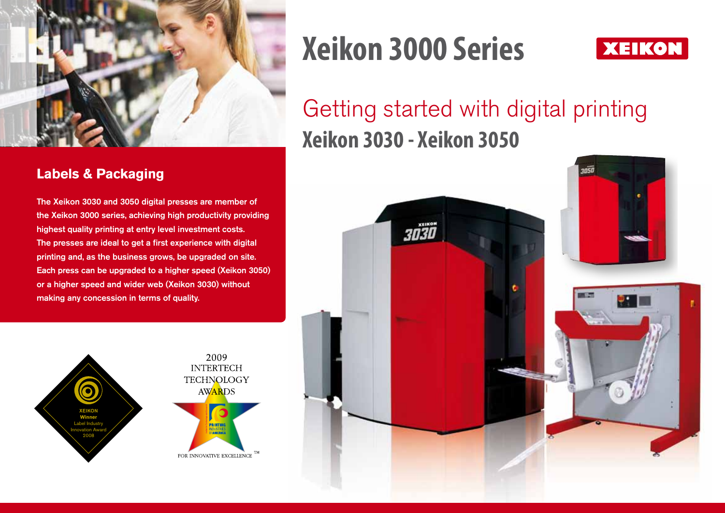

#### **Labels & Packaging**

The Xeikon 3030 and 3050 digital presses are member of the Xeikon 3000 series, achieving high productivity providing highest quality printing at entry level investment costs. The presses are ideal to get a first experience with digital printing and, as the business grows, be upgraded on site. Each press can be upgraded to a higher speed (Xeikon 3050) or a higher speed and wider web (Xeikon 3030) without making any concession in terms of quality.



# **Xeikon 3000 Series**



## Getting started with digital printing **Xeikon 3030 - Xeikon 3050**